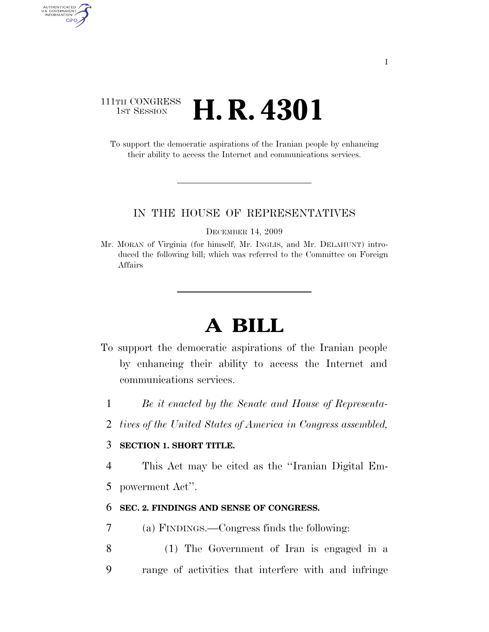## 111TH CONGRESS **1st Session H. R. 4301**

AUTHENTICATED<br>U.S. GOVERNMENT<br>INFORMATION GPO

> To support the democratic aspirations of the Iranian people by enhancing their ability to access the Internet and communications services.

#### IN THE HOUSE OF REPRESENTATIVES

DECEMBER 14, 2009

Mr. MORAN of Virginia (for himself, Mr. INGLIS, and Mr. DELAHUNT) introduced the following bill; which was referred to the Committee on Foreign Affairs

# **A BILL**

- To support the democratic aspirations of the Iranian people by enhancing their ability to access the Internet and communications services.
	- 1 *Be it enacted by the Senate and House of Representa-*
	- 2 *tives of the United States of America in Congress assembled,*

### 3 **SECTION 1. SHORT TITLE.**

4 This Act may be cited as the ''Iranian Digital Em-

5 powerment Act''.

### 6 **SEC. 2. FINDINGS AND SENSE OF CONGRESS.**

- 7 (a) FINDINGS.—Congress finds the following:
- 8 (1) The Government of Iran is engaged in a 9 range of activities that interfere with and infringe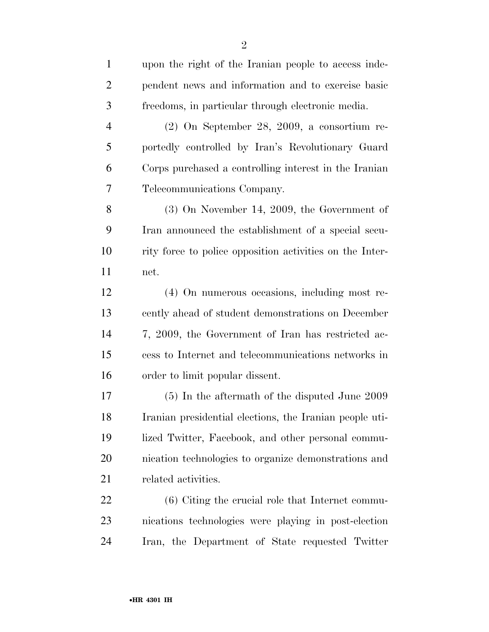| $\mathbf{1}$   | upon the right of the Iranian people to access inde-     |
|----------------|----------------------------------------------------------|
| $\overline{2}$ | pendent news and information and to exercise basic       |
| 3              | freedoms, in particular through electronic media.        |
| $\overline{4}$ | $(2)$ On September 28, 2009, a consortium re-            |
| 5              | portedly controlled by Iran's Revolutionary Guard        |
| 6              | Corps purchased a controlling interest in the Iranian    |
| 7              | Telecommunications Company.                              |
| 8              | $(3)$ On November 14, 2009, the Government of            |
| 9              | Iran announced the establishment of a special secu-      |
| 10             | rity force to police opposition activities on the Inter- |
| 11             | net.                                                     |
| 12             | (4) On numerous occasions, including most re-            |
| 13             | cently ahead of student demonstrations on December       |
| 14             | 7, 2009, the Government of Iran has restricted ac-       |
| 15             | cess to Internet and telecommunications networks in      |
| 16             | order to limit popular dissent.                          |
| 17             | $(5)$ In the aftermath of the disputed June 2009         |
| 18             | Iranian presidential elections, the Iranian people uti-  |
| 19             | lized Twitter, Facebook, and other personal commu-       |
| 20             | nication technologies to organize demonstrations and     |
| 21             | related activities.                                      |
| 22             | (6) Citing the crucial role that Internet commu-         |

 nications technologies were playing in post-election Iran, the Department of State requested Twitter

net.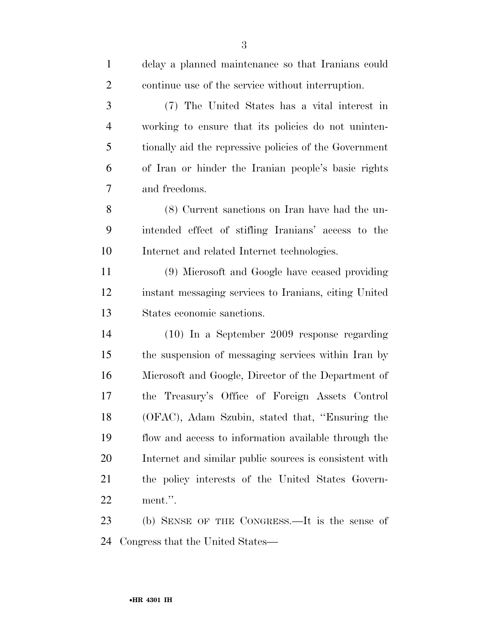delay a planned maintenance so that Iranians could continue use of the service without interruption. (7) The United States has a vital interest in working to ensure that its policies do not uninten- tionally aid the repressive policies of the Government of Iran or hinder the Iranian people's basic rights and freedoms. (8) Current sanctions on Iran have had the un- intended effect of stifling Iranians' access to the Internet and related Internet technologies. (9) Microsoft and Google have ceased providing instant messaging services to Iranians, citing United States economic sanctions. (10) In a September 2009 response regarding the suspension of messaging services within Iran by Microsoft and Google, Director of the Department of the Treasury's Office of Foreign Assets Control (OFAC), Adam Szubin, stated that, ''Ensuring the flow and access to information available through the Internet and similar public sources is consistent with the policy interests of the United States Govern-ment.''.

 (b) SENSE OF THE CONGRESS.—It is the sense of Congress that the United States—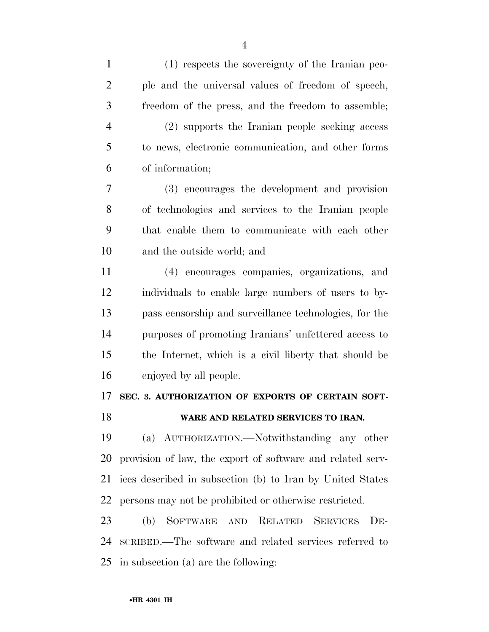| $\mathbf{1}$   | (1) respects the sovereignty of the Iranian peo-           |
|----------------|------------------------------------------------------------|
| $\overline{2}$ | ple and the universal values of freedom of speech,         |
| 3              | freedom of the press, and the freedom to assemble;         |
| $\overline{4}$ | (2) supports the Iranian people seeking access             |
| 5              | to news, electronic communication, and other forms         |
| 6              | of information;                                            |
| 7              | (3) encourages the development and provision               |
| 8              | of technologies and services to the Iranian people         |
| 9              | that enable them to communicate with each other            |
| 10             | and the outside world; and                                 |
| 11             | (4) encourages companies, organizations, and               |
| 12             | individuals to enable large numbers of users to by-        |
| 13             | pass censorship and surveillance technologies, for the     |
| 14             | purposes of promoting Iranians' unfettered access to       |
| 15             | the Internet, which is a civil liberty that should be      |
| 16             | enjoyed by all people.                                     |
| 17             | SEC. 3. AUTHORIZATION OF EXPORTS OF CERTAIN SOFT-          |
| 18             | WARE AND RELATED SERVICES TO IRAN.                         |
| 19             | (a) AUTHORIZATION.—Notwithstanding any other               |
| 20             | provision of law, the export of software and related serv- |
| 21             | ices described in subsection (b) to Iran by United States  |
| 22             | persons may not be prohibited or otherwise restricted.     |
| 23             | (b) SOFTWARE AND RELATED<br><b>SERVICES</b><br>$DE-$       |
| 24             | SCRIBED.—The software and related services referred to     |
| 25             | in subsection (a) are the following:                       |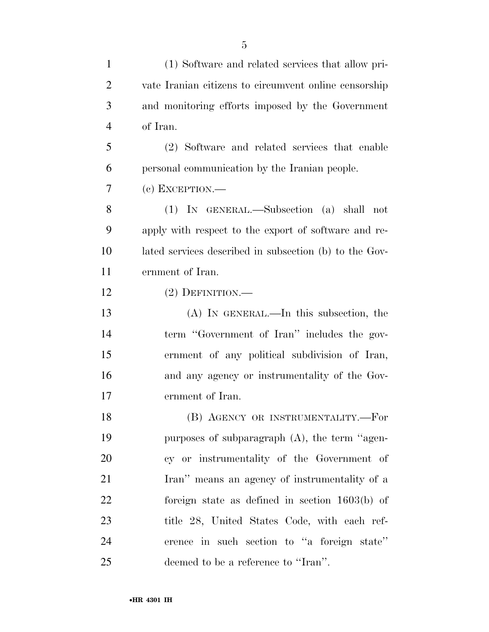(1) Software and related services that allow pri- vate Iranian citizens to circumvent online censorship and monitoring efforts imposed by the Government of Iran. (2) Software and related services that enable personal communication by the Iranian people. (c) EXCEPTION.— (1) IN GENERAL.—Subsection (a) shall not apply with respect to the export of software and re- lated services described in subsection (b) to the Gov- ernment of Iran. (2) DEFINITION.— (A) IN GENERAL.—In this subsection, the term ''Government of Iran'' includes the gov- ernment of any political subdivision of Iran, and any agency or instrumentality of the Gov- ernment of Iran. (B) AGENCY OR INSTRUMENTALITY.—For purposes of subparagraph (A), the term ''agen- cy or instrumentality of the Government of Iran'' means an agency of instrumentality of a foreign state as defined in section 1603(b) of title 28, United States Code, with each ref- erence in such section to ''a foreign state'' deemed to be a reference to ''Iran''.